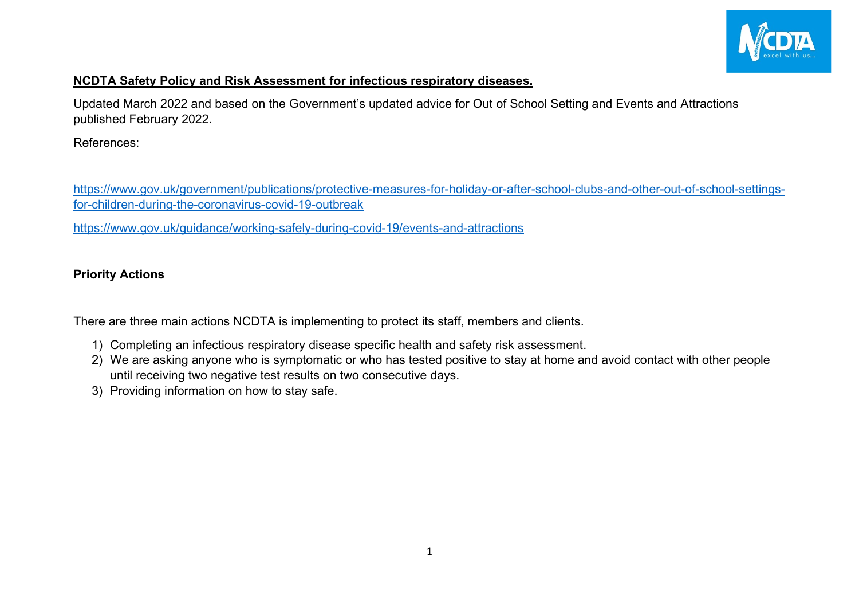

## **NCDTA Safety Policy and Risk Assessment for infectious respiratory diseases.**

Updated March 2022 and based on the Government's updated advice for Out of School Setting and Events and Attractions published February 2022.

References:

[https://www.gov.uk/government/publications/protective-measures-for-holiday-or-after-school-clubs-and-other-out-of-school-settings](https://www.gov.uk/government/publications/protective-measures-for-holiday-or-after-school-clubs-and-other-out-of-school-settings-for-children-during-the-coronavirus-covid-19-outbreak)[for-children-during-the-coronavirus-covid-19-outbreak](https://www.gov.uk/government/publications/protective-measures-for-holiday-or-after-school-clubs-and-other-out-of-school-settings-for-children-during-the-coronavirus-covid-19-outbreak)

<https://www.gov.uk/guidance/working-safely-during-covid-19/events-and-attractions>

## **Priority Actions**

There are three main actions NCDTA is implementing to protect its staff, members and clients.

- 1) Completing an infectious respiratory disease specific health and safety risk assessment.
- 2) We are asking anyone who is symptomatic or who has tested positive to stay at home and avoid contact with other people until receiving two negative test results on two consecutive days.
- 3) Providing information on how to stay safe.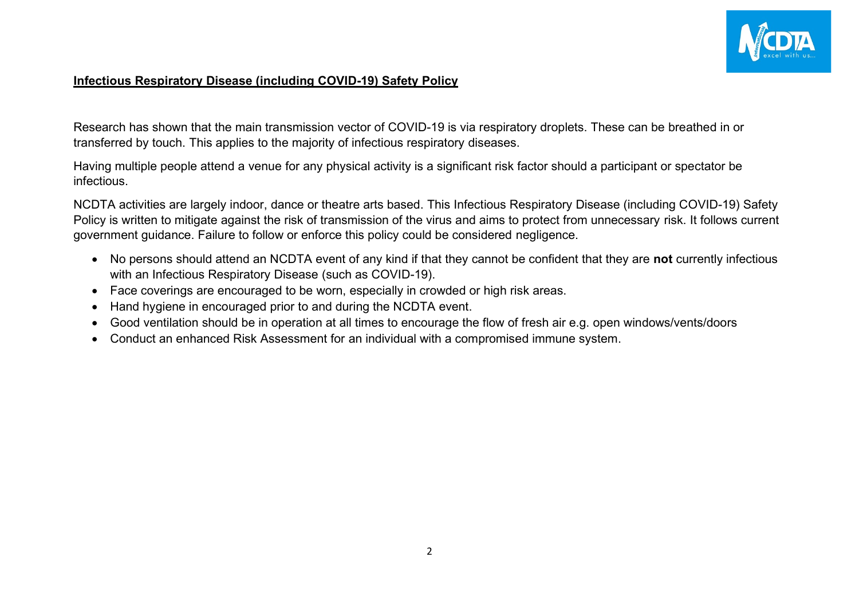

## **Infectious Respiratory Disease (including COVID-19) Safety Policy**

Research has shown that the main transmission vector of COVID-19 is via respiratory droplets. These can be breathed in or transferred by touch. This applies to the majority of infectious respiratory diseases.

Having multiple people attend a venue for any physical activity is a significant risk factor should a participant or spectator be infectious.

NCDTA activities are largely indoor, dance or theatre arts based. This Infectious Respiratory Disease (including COVID-19) Safety Policy is written to mitigate against the risk of transmission of the virus and aims to protect from unnecessary risk. It follows current government guidance. Failure to follow or enforce this policy could be considered negligence.

- No persons should attend an NCDTA event of any kind if that they cannot be confident that they are **not** currently infectious with an Infectious Respiratory Disease (such as COVID-19).
- Face coverings are encouraged to be worn, especially in crowded or high risk areas.
- Hand hygiene in encouraged prior to and during the NCDTA event.
- Good ventilation should be in operation at all times to encourage the flow of fresh air e.g. open windows/vents/doors
- Conduct an enhanced Risk Assessment for an individual with a compromised immune system.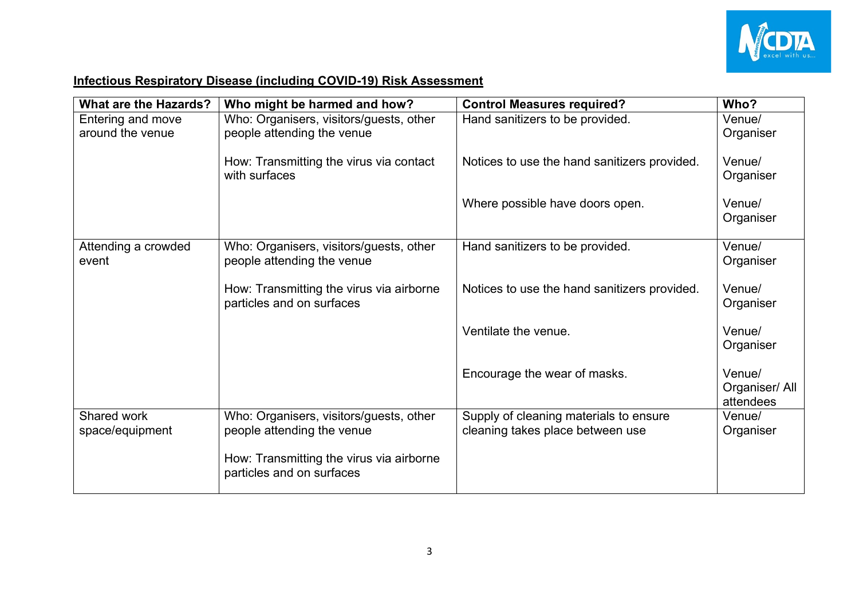

## **Infectious Respiratory Disease (including COVID-19) Risk Assessment**

| <b>What are the Hazards?</b> | Who might be harmed and how?                                          | <b>Control Measures required?</b>            | Who?                                  |
|------------------------------|-----------------------------------------------------------------------|----------------------------------------------|---------------------------------------|
| Entering and move            | Who: Organisers, visitors/guests, other                               | Hand sanitizers to be provided.              | Venue/                                |
| around the venue             | people attending the venue                                            |                                              | Organiser                             |
|                              | How: Transmitting the virus via contact<br>with surfaces              | Notices to use the hand sanitizers provided. | Venue/<br>Organiser                   |
|                              |                                                                       | Where possible have doors open.              | Venue/<br>Organiser                   |
|                              |                                                                       |                                              |                                       |
| Attending a crowded<br>event | Who: Organisers, visitors/guests, other<br>people attending the venue | Hand sanitizers to be provided.              | Venue/<br>Organiser                   |
|                              | How: Transmitting the virus via airborne<br>particles and on surfaces | Notices to use the hand sanitizers provided. | Venue/<br>Organiser                   |
|                              |                                                                       | Ventilate the venue.                         | Venue/<br>Organiser                   |
|                              |                                                                       | Encourage the wear of masks.                 | Venue/<br>Organiser/ All<br>attendees |
| Shared work                  | Who: Organisers, visitors/guests, other                               | Supply of cleaning materials to ensure       | Venue/                                |
| space/equipment              | people attending the venue                                            | cleaning takes place between use             | Organiser                             |
|                              | How: Transmitting the virus via airborne<br>particles and on surfaces |                                              |                                       |